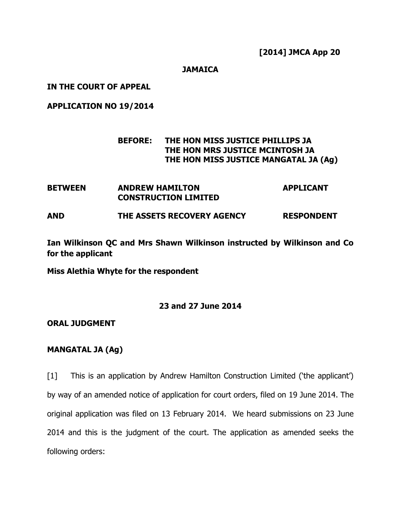## JAMAICA

### IN THE COURT OF APPEAL

## APPLICATION NO 19/2014

# BEFORE: THE HON MISS JUSTICE PHILLIPS JA THE HON MRS JUSTICE MCINTOSH JA THE HON MISS JUSTICE MANGATAL JA (Ag)

| <b>BETWEEN</b> | <b>ANDREW HAMILTON</b><br><b>CONSTRUCTION LIMITED</b> | <b>APPLICANT</b>  |
|----------------|-------------------------------------------------------|-------------------|
| <b>AND</b>     | THE ASSETS RECOVERY AGENCY                            | <b>RESPONDENT</b> |

Ian Wilkinson QC and Mrs Shawn Wilkinson instructed by Wilkinson and Co for the applicant

Miss Alethia Whyte for the respondent

# 23 and 27 June 2014

#### ORAL JUDGMENT

#### MANGATAL JA (Ag)

[1] This is an application by Andrew Hamilton Construction Limited ('the applicant') by way of an amended notice of application for court orders, filed on 19 June 2014. The original application was filed on 13 February 2014. We heard submissions on 23 June 2014 and this is the judgment of the court. The application as amended seeks the following orders: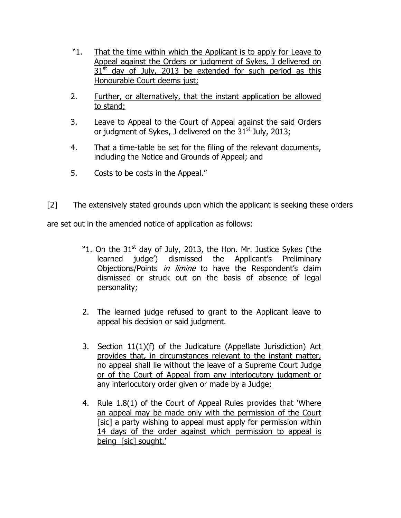- "1. That the time within which the Applicant is to apply for Leave to Appeal against the Orders or judgment of Sykes, J delivered on  $31<sup>st</sup>$  day of July, 2013 be extended for such period as this Honourable Court deems just;
- 2. Further, or alternatively, that the instant application be allowed to stand;
- 3. Leave to Appeal to the Court of Appeal against the said Orders or judgment of Sykes, J delivered on the  $31<sup>st</sup>$  July, 2013;
- 4. That a time-table be set for the filing of the relevant documents, including the Notice and Grounds of Appeal; and
- 5. Costs to be costs in the Appeal."
- [2] The extensively stated grounds upon which the applicant is seeking these orders

are set out in the amended notice of application as follows:

- "1. On the  $31<sup>st</sup>$  day of July, 2013, the Hon. Mr. Justice Sykes ('the learned judge') dismissed the Applicant's Preliminary Objections/Points in limine to have the Respondent's claim dismissed or struck out on the basis of absence of legal personality;
- 2. The learned judge refused to grant to the Applicant leave to appeal his decision or said judgment.
- 3. Section 11(1)(f) of the Judicature (Appellate Jurisdiction) Act provides that, in circumstances relevant to the instant matter, no appeal shall lie without the leave of a Supreme Court Judge or of the Court of Appeal from any interlocutory judgment or any interlocutory order given or made by a Judge;
- 4. Rule 1.8(1) of the Court of Appeal Rules provides that 'Where an appeal may be made only with the permission of the Court [sic] a party wishing to appeal must apply for permission within 14 days of the order against which permission to appeal is being [sic] sought.'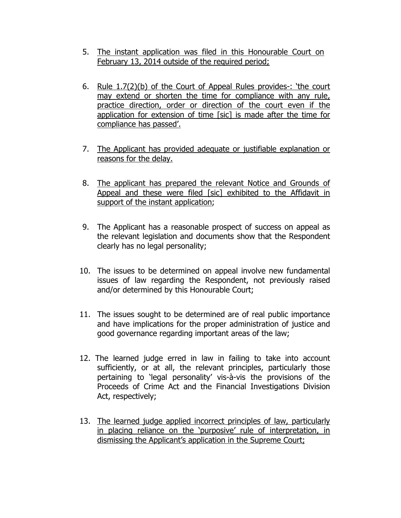- 5. The instant application was filed in this Honourable Court on February 13, 2014 outside of the required period;
- 6. Rule 1.7(2)(b) of the Court of Appeal Rules provides-: 'the court may extend or shorten the time for compliance with any rule, practice direction, order or direction of the court even if the application for extension of time [sic] is made after the time for compliance has passed'.
- 7. The Applicant has provided adequate or justifiable explanation or reasons for the delay.
- 8. The applicant has prepared the relevant Notice and Grounds of Appeal and these were filed [sic] exhibited to the Affidavit in support of the instant application;
- 9. The Applicant has a reasonable prospect of success on appeal as the relevant legislation and documents show that the Respondent clearly has no legal personality;
- 10. The issues to be determined on appeal involve new fundamental issues of law regarding the Respondent, not previously raised and/or determined by this Honourable Court;
- 11. The issues sought to be determined are of real public importance and have implications for the proper administration of justice and good governance regarding important areas of the law;
- 12. The learned judge erred in law in failing to take into account sufficiently, or at all, the relevant principles, particularly those pertaining to 'legal personality' vis-à-vis the provisions of the Proceeds of Crime Act and the Financial Investigations Division Act, respectively;
- 13. The learned judge applied incorrect principles of law, particularly in placing reliance on the 'purposive' rule of interpretation, in dismissing the Applicant's application in the Supreme Court;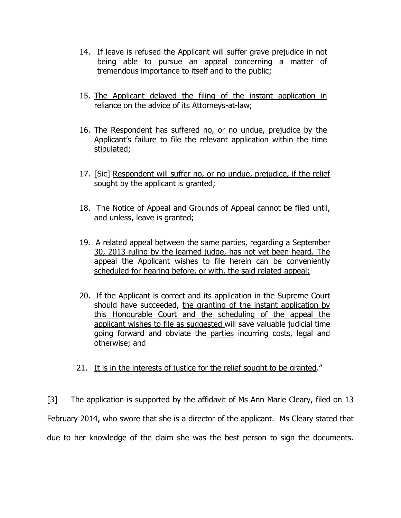- 14. If leave is refused the Applicant will suffer grave prejudice in not being able to pursue an appeal concerning a matter of tremendous importance to itself and to the public;
- 15. The Applicant delayed the filing of the instant application in reliance on the advice of its Attorneys-at-law;
- 16. The Respondent has suffered no, or no undue, prejudice by the Applicant's failure to file the relevant application within the time stipulated;
- 17. [Sic] Respondent will suffer no, or no undue, prejudice, if the relief sought by the applicant is granted;
- 18. The Notice of Appeal and Grounds of Appeal cannot be filed until, and unless, leave is granted;
- 19. A related appeal between the same parties, regarding a September 30, 2013 ruling by the learned judge, has not yet been heard. The appeal the Applicant wishes to file herein can be conveniently scheduled for hearing before, or with, the said related appeal;
- 20. If the Applicant is correct and its application in the Supreme Court should have succeeded, the granting of the instant application by this Honourable Court and the scheduling of the appeal the applicant wishes to file as suggested will save valuable judicial time going forward and obviate the parties incurring costs, legal and otherwise; and
- 21. It is in the interests of justice for the relief sought to be granted."

[3] The application is supported by the affidavit of Ms Ann Marie Cleary, filed on 13 February 2014, who swore that she is a director of the applicant. Ms Cleary stated that due to her knowledge of the claim she was the best person to sign the documents.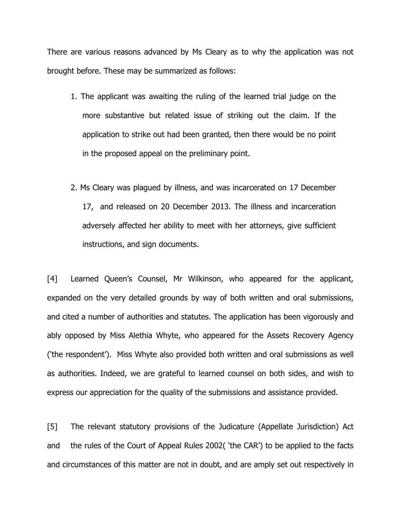There are various reasons advanced by Ms Cleary as to why the application was not brought before. These may be summarized as follows:

- 1. The applicant was awaiting the ruling of the learned trial judge on the more substantive but related issue of striking out the claim. If the application to strike out had been granted, then there would be no point in the proposed appeal on the preliminary point.
- 2. Ms Cleary was plagued by illness, and was incarcerated on 17 December 17, and released on 20 December 2013. The illness and incarceration adversely affected her ability to meet with her attorneys, give sufficient instructions, and sign documents.

[4] Learned Queen's Counsel, Mr Wilkinson, who appeared for the applicant, expanded on the very detailed grounds by way of both written and oral submissions, and cited a number of authorities and statutes. The application has been vigorously and ably opposed by Miss Alethia Whyte, who appeared for the Assets Recovery Agency ('the respondent'). Miss Whyte also provided both written and oral submissions as well as authorities. Indeed, we are grateful to learned counsel on both sides, and wish to express our appreciation for the quality of the submissions and assistance provided.

[5] The relevant statutory provisions of the Judicature (Appellate Jurisdiction) Act and the rules of the Court of Appeal Rules 2002( 'the CAR') to be applied to the facts and circumstances of this matter are not in doubt, and are amply set out respectively in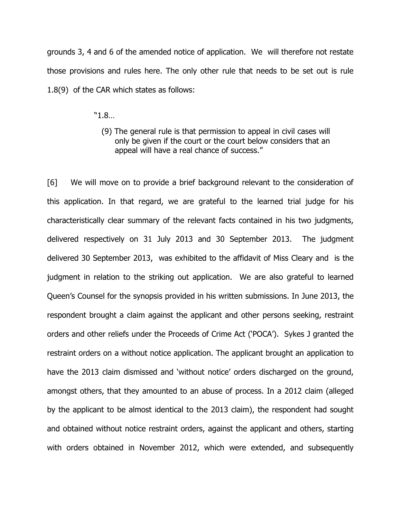grounds 3, 4 and 6 of the amended notice of application. We will therefore not restate those provisions and rules here. The only other rule that needs to be set out is rule 1.8(9) of the CAR which states as follows:

"1.8…

 (9) The general rule is that permission to appeal in civil cases will only be given if the court or the court below considers that an appeal will have a real chance of success."

[6] We will move on to provide a brief background relevant to the consideration of this application. In that regard, we are grateful to the learned trial judge for his characteristically clear summary of the relevant facts contained in his two judgments, delivered respectively on 31 July 2013 and 30 September 2013. The judgment delivered 30 September 2013, was exhibited to the affidavit of Miss Cleary and is the judgment in relation to the striking out application. We are also grateful to learned Queen's Counsel for the synopsis provided in his written submissions. In June 2013, the respondent brought a claim against the applicant and other persons seeking, restraint orders and other reliefs under the Proceeds of Crime Act ('POCA'). Sykes J granted the restraint orders on a without notice application. The applicant brought an application to have the 2013 claim dismissed and 'without notice' orders discharged on the ground, amongst others, that they amounted to an abuse of process. In a 2012 claim (alleged by the applicant to be almost identical to the 2013 claim), the respondent had sought and obtained without notice restraint orders, against the applicant and others, starting with orders obtained in November 2012, which were extended, and subsequently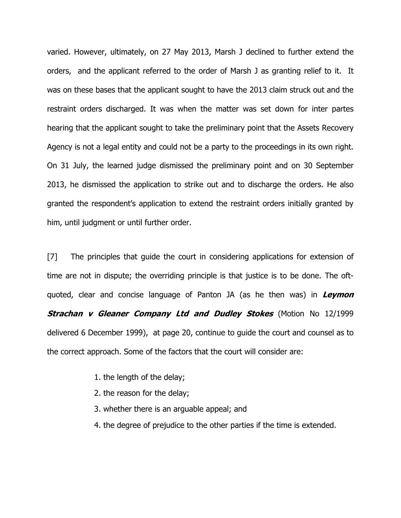varied. However, ultimately, on 27 May 2013, Marsh J declined to further extend the orders, and the applicant referred to the order of Marsh J as granting relief to it. It was on these bases that the applicant sought to have the 2013 claim struck out and the restraint orders discharged. It was when the matter was set down for inter partes hearing that the applicant sought to take the preliminary point that the Assets Recovery Agency is not a legal entity and could not be a party to the proceedings in its own right. On 31 July, the learned judge dismissed the preliminary point and on 30 September 2013, he dismissed the application to strike out and to discharge the orders. He also granted the respondent's application to extend the restraint orders initially granted by him, until judgment or until further order.

[7] The principles that guide the court in considering applications for extension of time are not in dispute; the overriding principle is that justice is to be done. The oftquoted, clear and concise language of Panton JA (as he then was) in Leymon **Strachan v Gleaner Company Ltd and Dudley Stokes** (Motion No 12/1999 delivered 6 December 1999), at page 20, continue to guide the court and counsel as to the correct approach. Some of the factors that the court will consider are:

- 1. the length of the delay;
- 2. the reason for the delay;
- 3. whether there is an arguable appeal; and
- 4. the degree of prejudice to the other parties if the time is extended.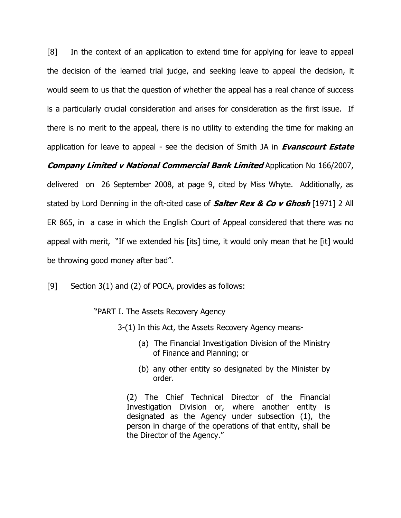[8] In the context of an application to extend time for applying for leave to appeal the decision of the learned trial judge, and seeking leave to appeal the decision, it would seem to us that the question of whether the appeal has a real chance of success is a particularly crucial consideration and arises for consideration as the first issue. If there is no merit to the appeal, there is no utility to extending the time for making an application for leave to appeal - see the decision of Smith JA in Evanscourt Estate

# **Company Limited v National Commercial Bank Limited Application No 166/2007,** delivered on 26 September 2008, at page 9, cited by Miss Whyte. Additionally, as

stated by Lord Denning in the oft-cited case of **Salter Rex & Co v Ghosh** [1971] 2 All ER 865, in a case in which the English Court of Appeal considered that there was no appeal with merit, "If we extended his [its] time, it would only mean that he [it] would be throwing good money after bad".

[9] Section 3(1) and (2) of POCA, provides as follows:

"PART I. The Assets Recovery Agency

3-(1) In this Act, the Assets Recovery Agency means-

- (a) The Financial Investigation Division of the Ministry of Finance and Planning; or
- (b) any other entity so designated by the Minister by order.

(2) The Chief Technical Director of the Financial Investigation Division or, where another entity is designated as the Agency under subsection (1), the person in charge of the operations of that entity, shall be the Director of the Agency."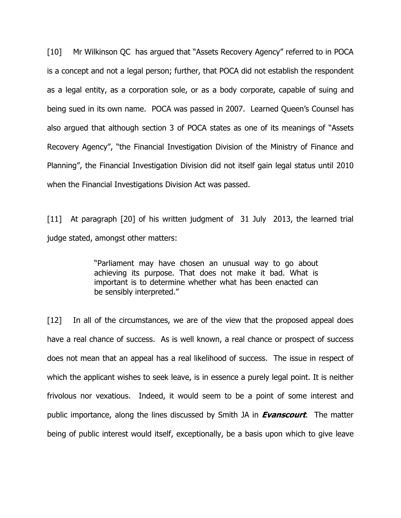[10] Mr Wilkinson QC has argued that "Assets Recovery Agency" referred to in POCA is a concept and not a legal person; further, that POCA did not establish the respondent as a legal entity, as a corporation sole, or as a body corporate, capable of suing and being sued in its own name. POCA was passed in 2007. Learned Queen's Counsel has also argued that although section 3 of POCA states as one of its meanings of "Assets Recovery Agency", "the Financial Investigation Division of the Ministry of Finance and Planning", the Financial Investigation Division did not itself gain legal status until 2010 when the Financial Investigations Division Act was passed.

[11] At paragraph [20] of his written judgment of 31 July 2013, the learned trial judge stated, amongst other matters:

> "Parliament may have chosen an unusual way to go about achieving its purpose. That does not make it bad. What is important is to determine whether what has been enacted can be sensibly interpreted."

[12] In all of the circumstances, we are of the view that the proposed appeal does have a real chance of success. As is well known, a real chance or prospect of success does not mean that an appeal has a real likelihood of success. The issue in respect of which the applicant wishes to seek leave, is in essence a purely legal point. It is neither frivolous nor vexatious. Indeed, it would seem to be a point of some interest and public importance, along the lines discussed by Smith JA in **Evanscourt**. The matter being of public interest would itself, exceptionally, be a basis upon which to give leave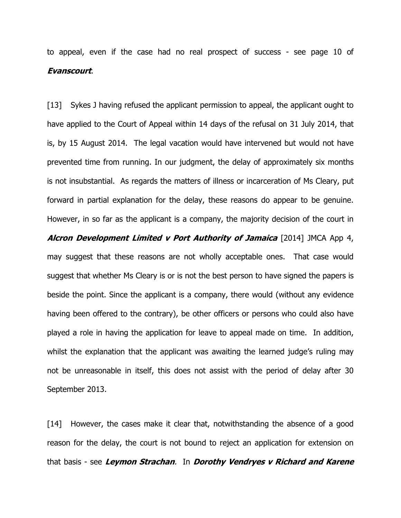to appeal, even if the case had no real prospect of success - see page 10 of Evanscourt.

[13] Sykes J having refused the applicant permission to appeal, the applicant ought to have applied to the Court of Appeal within 14 days of the refusal on 31 July 2014, that is, by 15 August 2014. The legal vacation would have intervened but would not have prevented time from running. In our judgment, the delay of approximately six months is not insubstantial. As regards the matters of illness or incarceration of Ms Cleary, put forward in partial explanation for the delay, these reasons do appear to be genuine. However, in so far as the applicant is a company, the majority decision of the court in Alcron Development Limited v Port Authority of Jamaica [2014] JMCA App 4, may suggest that these reasons are not wholly acceptable ones. That case would suggest that whether Ms Cleary is or is not the best person to have signed the papers is beside the point. Since the applicant is a company, there would (without any evidence having been offered to the contrary), be other officers or persons who could also have played a role in having the application for leave to appeal made on time. In addition, whilst the explanation that the applicant was awaiting the learned judge's ruling may

not be unreasonable in itself, this does not assist with the period of delay after 30 September 2013.

[14] However, the cases make it clear that, notwithstanding the absence of a good reason for the delay, the court is not bound to reject an application for extension on that basis - see Leymon Strachan. In Dorothy Vendryes v Richard and Karene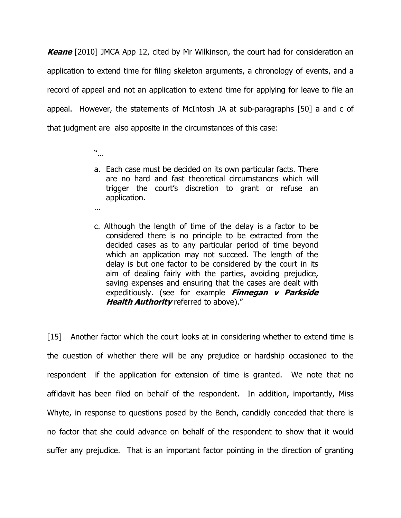**Keane** [2010] JMCA App 12, cited by Mr Wilkinson, the court had for consideration an application to extend time for filing skeleton arguments, a chronology of events, and a record of appeal and not an application to extend time for applying for leave to file an appeal. However, the statements of McIntosh JA at sub-paragraphs [50] a and c of that judgment are also apposite in the circumstances of this case:

"…

…

- a. Each case must be decided on its own particular facts. There are no hard and fast theoretical circumstances which will trigger the court's discretion to grant or refuse an application.
- c. Although the length of time of the delay is a factor to be considered there is no principle to be extracted from the decided cases as to any particular period of time beyond which an application may not succeed. The length of the delay is but one factor to be considered by the court in its aim of dealing fairly with the parties, avoiding prejudice, saving expenses and ensuring that the cases are dealt with expeditiously. (see for example *Finnegan v Parkside* Health Authority referred to above)."

[15] Another factor which the court looks at in considering whether to extend time is the question of whether there will be any prejudice or hardship occasioned to the respondent if the application for extension of time is granted. We note that no affidavit has been filed on behalf of the respondent. In addition, importantly, Miss Whyte, in response to questions posed by the Bench, candidly conceded that there is no factor that she could advance on behalf of the respondent to show that it would suffer any prejudice. That is an important factor pointing in the direction of granting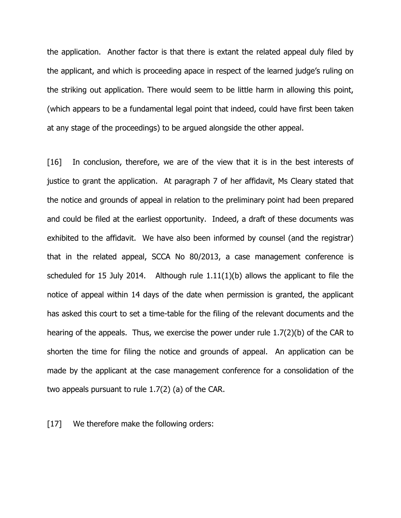the application. Another factor is that there is extant the related appeal duly filed by the applicant, and which is proceeding apace in respect of the learned judge's ruling on the striking out application. There would seem to be little harm in allowing this point, (which appears to be a fundamental legal point that indeed, could have first been taken at any stage of the proceedings) to be argued alongside the other appeal.

[16] In conclusion, therefore, we are of the view that it is in the best interests of justice to grant the application. At paragraph 7 of her affidavit, Ms Cleary stated that the notice and grounds of appeal in relation to the preliminary point had been prepared and could be filed at the earliest opportunity. Indeed, a draft of these documents was exhibited to the affidavit. We have also been informed by counsel (and the registrar) that in the related appeal, SCCA No 80/2013, a case management conference is scheduled for 15 July 2014. Although rule 1.11(1)(b) allows the applicant to file the notice of appeal within 14 days of the date when permission is granted, the applicant has asked this court to set a time-table for the filing of the relevant documents and the hearing of the appeals. Thus, we exercise the power under rule 1.7(2)(b) of the CAR to shorten the time for filing the notice and grounds of appeal. An application can be made by the applicant at the case management conference for a consolidation of the two appeals pursuant to rule 1.7(2) (a) of the CAR.

[17] We therefore make the following orders: